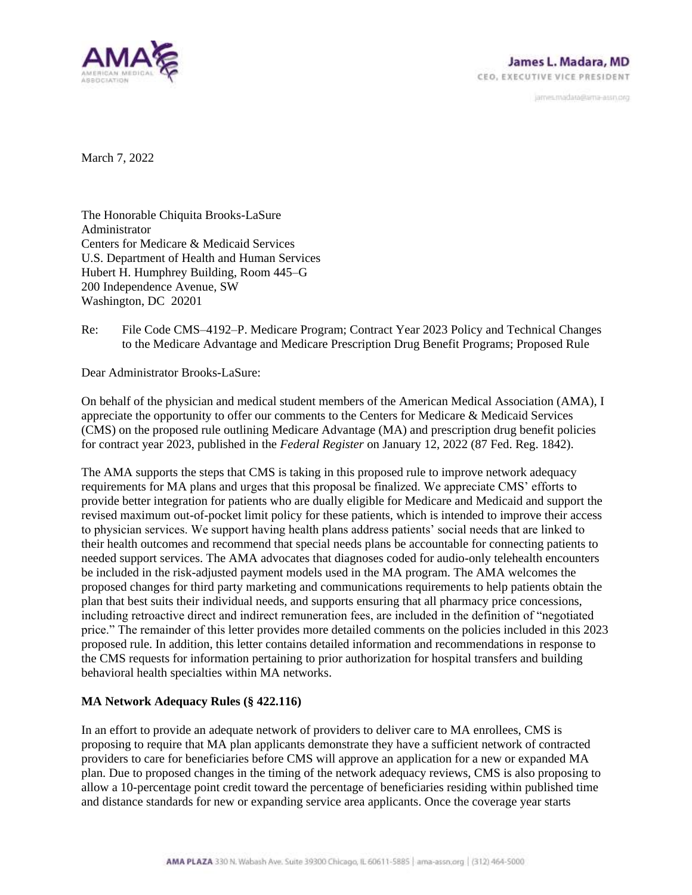

janves.madara@ama-assn.org

March 7, 2022

The Honorable Chiquita Brooks-LaSure Administrator Centers for Medicare & Medicaid Services U.S. Department of Health and Human Services Hubert H. Humphrey Building, Room 445–G 200 Independence Avenue, SW Washington, DC 20201

Re: File Code CMS–4192–P. Medicare Program; Contract Year 2023 Policy and Technical Changes to the Medicare Advantage and Medicare Prescription Drug Benefit Programs; Proposed Rule

Dear Administrator Brooks-LaSure:

On behalf of the physician and medical student members of the American Medical Association (AMA), I appreciate the opportunity to offer our comments to the Centers for Medicare & Medicaid Services (CMS) on the proposed rule outlining Medicare Advantage (MA) and prescription drug benefit policies for contract year 2023, published in the *Federal Register* on January 12, 2022 (87 Fed. Reg. 1842).

The AMA supports the steps that CMS is taking in this proposed rule to improve network adequacy requirements for MA plans and urges that this proposal be finalized. We appreciate CMS' efforts to provide better integration for patients who are dually eligible for Medicare and Medicaid and support the revised maximum out-of-pocket limit policy for these patients, which is intended to improve their access to physician services. We support having health plans address patients' social needs that are linked to their health outcomes and recommend that special needs plans be accountable for connecting patients to needed support services. The AMA advocates that diagnoses coded for audio-only telehealth encounters be included in the risk-adjusted payment models used in the MA program. The AMA welcomes the proposed changes for third party marketing and communications requirements to help patients obtain the plan that best suits their individual needs, and supports ensuring that all pharmacy price concessions, including retroactive direct and indirect remuneration fees, are included in the definition of "negotiated price." The remainder of this letter provides more detailed comments on the policies included in this 2023 proposed rule. In addition, this letter contains detailed information and recommendations in response to the CMS requests for information pertaining to prior authorization for hospital transfers and building behavioral health specialties within MA networks.

## **MA Network Adequacy Rules (§ 422.116)**

In an effort to provide an adequate network of providers to deliver care to MA enrollees, CMS is proposing to require that MA plan applicants demonstrate they have a sufficient network of contracted providers to care for beneficiaries before CMS will approve an application for a new or expanded MA plan. Due to proposed changes in the timing of the network adequacy reviews, CMS is also proposing to allow a 10-percentage point credit toward the percentage of beneficiaries residing within published time and distance standards for new or expanding service area applicants. Once the coverage year starts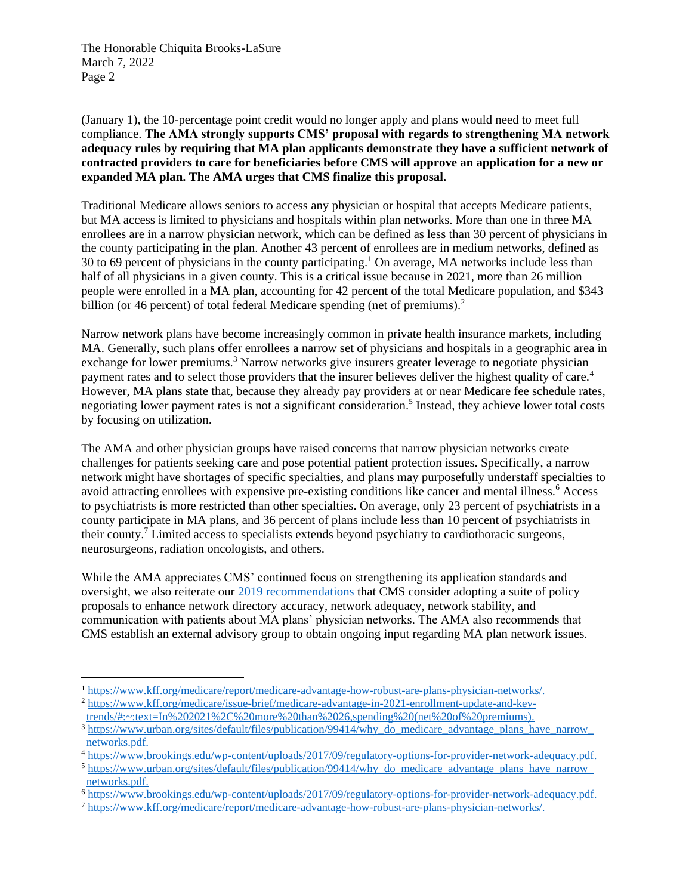(January 1), the 10-percentage point credit would no longer apply and plans would need to meet full compliance. **The AMA strongly supports CMS' proposal with regards to strengthening MA network adequacy rules by requiring that MA plan applicants demonstrate they have a sufficient network of contracted providers to care for beneficiaries before CMS will approve an application for a new or expanded MA plan. The AMA urges that CMS finalize this proposal.**

Traditional Medicare allows seniors to access any physician or hospital that accepts Medicare patients, but MA access is limited to physicians and hospitals within plan networks. More than one in three MA enrollees are in a narrow physician network, which can be defined as less than 30 percent of physicians in the county participating in the plan. Another 43 percent of enrollees are in medium networks, defined as 30 to 69 percent of physicians in the county participating.<sup>1</sup> On average, MA networks include less than half of all physicians in a given county. This is a critical issue because in 2021, more than 26 million people were enrolled in a MA plan, accounting for 42 percent of the total Medicare population, and \$343 billion (or 46 percent) of total federal Medicare spending (net of premiums).<sup>2</sup>

Narrow network plans have become increasingly common in private health insurance markets, including MA. Generally, such plans offer enrollees a narrow set of physicians and hospitals in a geographic area in exchange for lower premiums.<sup>3</sup> Narrow networks give insurers greater leverage to negotiate physician payment rates and to select those providers that the insurer believes deliver the highest quality of care.<sup>4</sup> However, MA plans state that, because they already pay providers at or near Medicare fee schedule rates, negotiating lower payment rates is not a significant consideration.<sup>5</sup> Instead, they achieve lower total costs by focusing on utilization.

The AMA and other physician groups have raised concerns that narrow physician networks create challenges for patients seeking care and pose potential patient protection issues. Specifically, a narrow network might have shortages of specific specialties, and plans may purposefully understaff specialties to avoid attracting enrollees with expensive pre-existing conditions like cancer and mental illness.<sup>6</sup> Access to psychiatrists is more restricted than other specialties. On average, only 23 percent of psychiatrists in a county participate in MA plans, and 36 percent of plans include less than 10 percent of psychiatrists in their county.<sup>7</sup> Limited access to specialists extends beyond psychiatry to cardiothoracic surgeons, neurosurgeons, radiation oncologists, and others.

While the AMA appreciates CMS' continued focus on strengthening its application standards and oversight, we also reiterate our [2019 recommendations](https://searchlf.ama-assn.org/letter/documentDownload?uri=%2Funstructured%2Fbinary%2Fletter%2FLETTERS%2F2019-9-30-Letter-to-Verma-at-CMS-re-MA-Networks-v2.pdf) that CMS consider adopting a suite of policy proposals to enhance network directory accuracy, network adequacy, network stability, and communication with patients about MA plans' physician networks. The AMA also recommends that CMS establish an external advisory group to obtain ongoing input regarding MA plan network issues.

<sup>1</sup> [https://www.kff.org/medicare/report/medicare-advantage-how-robust-are-plans-physician-networks/.](https://www.kff.org/medicare/report/medicare-advantage-how-robust-are-plans-physician-networks/)

<sup>2</sup> [https://www.kff.org/medicare/issue-brief/medicare-advantage-in-2021-enrollment-update-and-key](https://www.kff.org/medicare/issue-brief/medicare-advantage-in-2021-enrollment-update-and-key-trends/#:~:text=In%202021%2C%20more%20than%2026,spending%20(net%20of%20premiums))[trends/#:~:text=In%202021%2C%20more%20than%2026,spending%20\(net%20of%20premiums\).](https://www.kff.org/medicare/issue-brief/medicare-advantage-in-2021-enrollment-update-and-key-trends/#:~:text=In%202021%2C%20more%20than%2026,spending%20(net%20of%20premiums))

<sup>&</sup>lt;sup>3</sup> https://www.urban.org/sites/default/files/publication/99414/why\_do\_medicare\_advantage\_plans\_have\_narrow\_ [networks.pdf.](https://www.urban.org/sites/default/files/publication/99414/why_do_medicare_advantage_plans_have_narrow_%20networks.pdf)

<sup>4</sup> [https://www.brookings.edu/wp-content/uploads/2017/09/regulatory-options-for-provider-network-adequacy.pdf.](https://www.brookings.edu/wp-content/uploads/2017/09/regulatory-options-for-provider-network-adequacy.pdf)

<sup>5</sup> [https://www.urban.org/sites/default/files/publication/99414/why\\_do\\_medicare\\_advantage\\_plans\\_have\\_narrow\\_](https://www.urban.org/sites/default/files/publication/99414/why_do_medicare_advantage_plans_have_narrow_%20networks.pdf)  [networks.pdf.](https://www.urban.org/sites/default/files/publication/99414/why_do_medicare_advantage_plans_have_narrow_%20networks.pdf)

<sup>6</sup> [https://www.brookings.edu/wp-content/uploads/2017/09/regulatory-options-for-provider-network-adequacy.pdf.](https://www.brookings.edu/wp-content/uploads/2017/09/regulatory-options-for-provider-network-adequacy.pdf)

<sup>7</sup> [https://www.kff.org/medicare/report/medicare-advantage-how-robust-are-plans-physician-networks/.](https://www.kff.org/medicare/report/medicare-advantage-how-robust-are-plans-physician-networks/)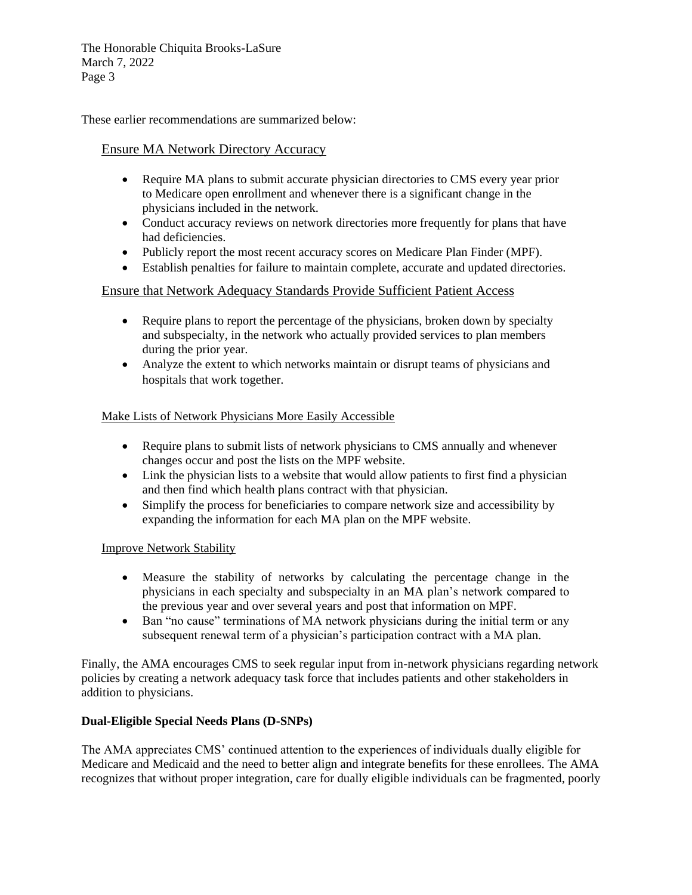These earlier recommendations are summarized below:

# Ensure MA Network Directory Accuracy

- Require MA plans to submit accurate physician directories to CMS every year prior to Medicare open enrollment and whenever there is a significant change in the physicians included in the network.
- Conduct accuracy reviews on network directories more frequently for plans that have had deficiencies.
- Publicly report the most recent accuracy scores on Medicare Plan Finder (MPF).
- Establish penalties for failure to maintain complete, accurate and updated directories.

# Ensure that Network Adequacy Standards Provide Sufficient Patient Access

- Require plans to report the percentage of the physicians, broken down by specialty and subspecialty, in the network who actually provided services to plan members during the prior year.
- Analyze the extent to which networks maintain or disrupt teams of physicians and hospitals that work together.

# Make Lists of Network Physicians More Easily Accessible

- Require plans to submit lists of network physicians to CMS annually and whenever changes occur and post the lists on the MPF website.
- Link the physician lists to a website that would allow patients to first find a physician and then find which health plans contract with that physician.
- Simplify the process for beneficiaries to compare network size and accessibility by expanding the information for each MA plan on the MPF website.

## Improve Network Stability

- Measure the stability of networks by calculating the percentage change in the physicians in each specialty and subspecialty in an MA plan's network compared to the previous year and over several years and post that information on MPF.
- Ban "no cause" terminations of MA network physicians during the initial term or any subsequent renewal term of a physician's participation contract with a MA plan.

Finally, the AMA encourages CMS to seek regular input from in-network physicians regarding network policies by creating a network adequacy task force that includes patients and other stakeholders in addition to physicians.

## **Dual-Eligible Special Needs Plans (D-SNPs)**

The AMA appreciates CMS' continued attention to the experiences of individuals dually eligible for Medicare and Medicaid and the need to better align and integrate benefits for these enrollees. The AMA recognizes that without proper integration, care for dually eligible individuals can be fragmented, poorly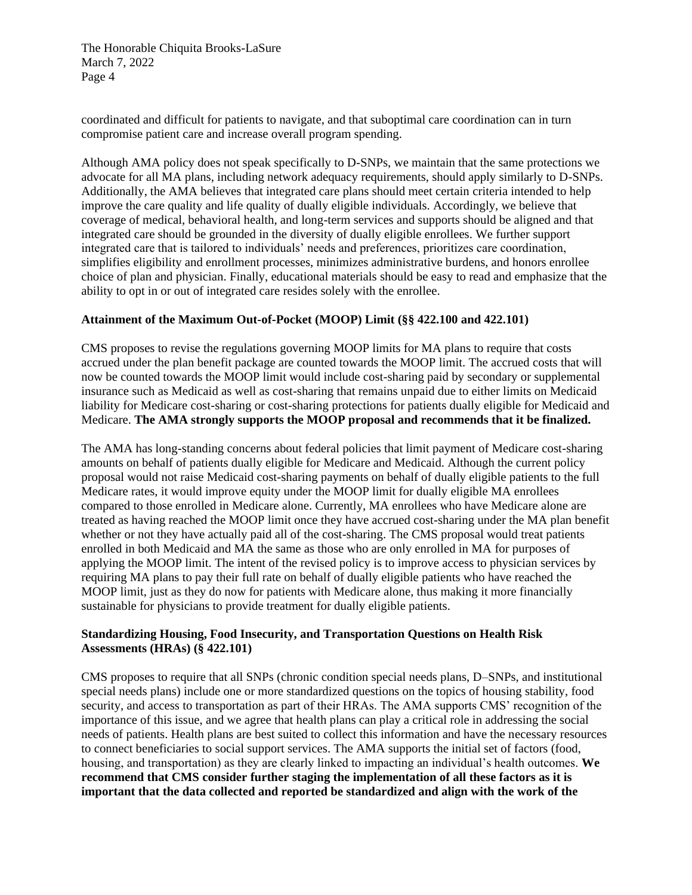coordinated and difficult for patients to navigate, and that suboptimal care coordination can in turn compromise patient care and increase overall program spending.

Although AMA policy does not speak specifically to D-SNPs, we maintain that the same protections we advocate for all MA plans, including network adequacy requirements, should apply similarly to D-SNPs. Additionally, the AMA believes that integrated care plans should meet certain criteria intended to help improve the care quality and life quality of dually eligible individuals. Accordingly, we believe that coverage of medical, behavioral health, and long-term services and supports should be aligned and that integrated care should be grounded in the diversity of dually eligible enrollees. We further support integrated care that is tailored to individuals' needs and preferences, prioritizes care coordination, simplifies eligibility and enrollment processes, minimizes administrative burdens, and honors enrollee choice of plan and physician. Finally, educational materials should be easy to read and emphasize that the ability to opt in or out of integrated care resides solely with the enrollee.

### **Attainment of the Maximum Out-of-Pocket (MOOP) Limit (§§ 422.100 and 422.101)**

CMS proposes to revise the regulations governing MOOP limits for MA plans to require that costs accrued under the plan benefit package are counted towards the MOOP limit. The accrued costs that will now be counted towards the MOOP limit would include cost-sharing paid by secondary or supplemental insurance such as Medicaid as well as cost-sharing that remains unpaid due to either limits on Medicaid liability for Medicare cost-sharing or cost-sharing protections for patients dually eligible for Medicaid and Medicare. **The AMA strongly supports the MOOP proposal and recommends that it be finalized.**

The AMA has long-standing concerns about federal policies that limit payment of Medicare cost-sharing amounts on behalf of patients dually eligible for Medicare and Medicaid. Although the current policy proposal would not raise Medicaid cost-sharing payments on behalf of dually eligible patients to the full Medicare rates, it would improve equity under the MOOP limit for dually eligible MA enrollees compared to those enrolled in Medicare alone. Currently, MA enrollees who have Medicare alone are treated as having reached the MOOP limit once they have accrued cost-sharing under the MA plan benefit whether or not they have actually paid all of the cost-sharing. The CMS proposal would treat patients enrolled in both Medicaid and MA the same as those who are only enrolled in MA for purposes of applying the MOOP limit. The intent of the revised policy is to improve access to physician services by requiring MA plans to pay their full rate on behalf of dually eligible patients who have reached the MOOP limit, just as they do now for patients with Medicare alone, thus making it more financially sustainable for physicians to provide treatment for dually eligible patients.

## **Standardizing Housing, Food Insecurity, and Transportation Questions on Health Risk Assessments (HRAs) (§ 422.101)**

CMS proposes to require that all SNPs (chronic condition special needs plans, D–SNPs, and institutional special needs plans) include one or more standardized questions on the topics of housing stability, food security, and access to transportation as part of their HRAs. The AMA supports CMS' recognition of the importance of this issue, and we agree that health plans can play a critical role in addressing the social needs of patients. Health plans are best suited to collect this information and have the necessary resources to connect beneficiaries to social support services. The AMA supports the initial set of factors (food, housing, and transportation) as they are clearly linked to impacting an individual's health outcomes. **We recommend that CMS consider further staging the implementation of all these factors as it is important that the data collected and reported be standardized and align with the work of the**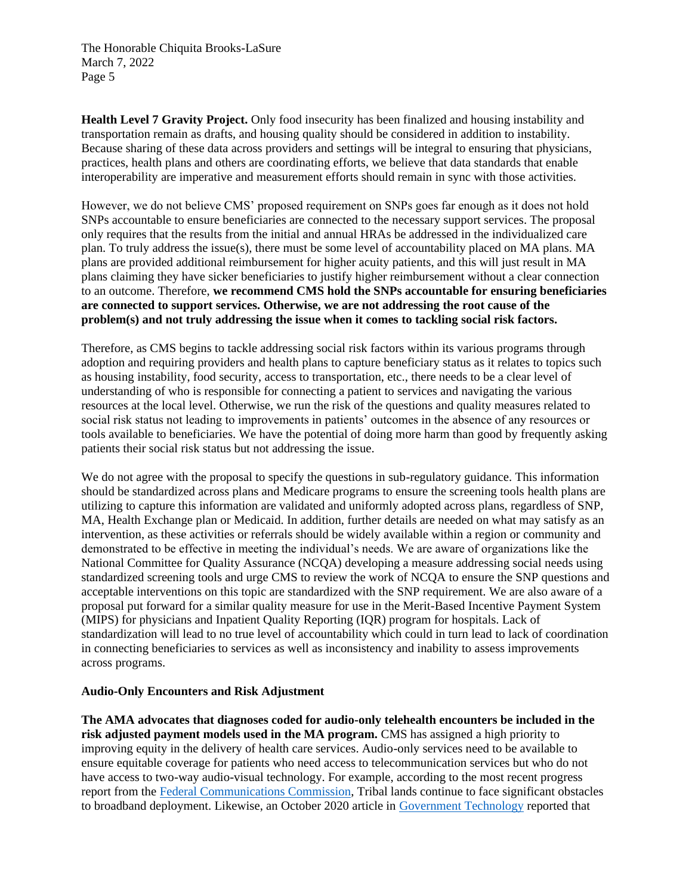**Health Level 7 Gravity Project.** Only food insecurity has been finalized and housing instability and transportation remain as drafts, and housing quality should be considered in addition to instability. Because sharing of these data across providers and settings will be integral to ensuring that physicians, practices, health plans and others are coordinating efforts, we believe that data standards that enable interoperability are imperative and measurement efforts should remain in sync with those activities.

However, we do not believe CMS' proposed requirement on SNPs goes far enough as it does not hold SNPs accountable to ensure beneficiaries are connected to the necessary support services. The proposal only requires that the results from the initial and annual HRAs be addressed in the individualized care plan. To truly address the issue(s), there must be some level of accountability placed on MA plans. MA plans are provided additional reimbursement for higher acuity patients, and this will just result in MA plans claiming they have sicker beneficiaries to justify higher reimbursement without a clear connection to an outcome. Therefore, **we recommend CMS hold the SNPs accountable for ensuring beneficiaries are connected to support services. Otherwise, we are not addressing the root cause of the problem(s) and not truly addressing the issue when it comes to tackling social risk factors.** 

Therefore, as CMS begins to tackle addressing social risk factors within its various programs through adoption and requiring providers and health plans to capture beneficiary status as it relates to topics such as housing instability, food security, access to transportation, etc., there needs to be a clear level of understanding of who is responsible for connecting a patient to services and navigating the various resources at the local level. Otherwise, we run the risk of the questions and quality measures related to social risk status not leading to improvements in patients' outcomes in the absence of any resources or tools available to beneficiaries. We have the potential of doing more harm than good by frequently asking patients their social risk status but not addressing the issue.

We do not agree with the proposal to specify the questions in sub-regulatory guidance. This information should be standardized across plans and Medicare programs to ensure the screening tools health plans are utilizing to capture this information are validated and uniformly adopted across plans, regardless of SNP, MA, Health Exchange plan or Medicaid. In addition, further details are needed on what may satisfy as an intervention, as these activities or referrals should be widely available within a region or community and demonstrated to be effective in meeting the individual's needs. We are aware of organizations like the National Committee for Quality Assurance (NCQA) developing a measure addressing social needs using standardized screening tools and urge CMS to review the work of NCQA to ensure the SNP questions and acceptable interventions on this topic are standardized with the SNP requirement. We are also aware of a proposal put forward for a similar quality measure for use in the Merit-Based Incentive Payment System (MIPS) for physicians and Inpatient Quality Reporting (IQR) program for hospitals. Lack of standardization will lead to no true level of accountability which could in turn lead to lack of coordination in connecting beneficiaries to services as well as inconsistency and inability to assess improvements across programs.

#### **Audio-Only Encounters and Risk Adjustment**

**The AMA advocates that diagnoses coded for audio-only telehealth encounters be included in the risk adjusted payment models used in the MA program.** CMS has assigned a high priority to improving equity in the delivery of health care services. Audio-only services need to be available to ensure equitable coverage for patients who need access to telecommunication services but who do not have access to two-way audio-visual technology. For example, according to the most recent progress report from the [Federal Communications Commission,](https://www.fcc.gov/document/fcc-annual-broadband-report-shows-digital-divide-rapidly-closing) Tribal lands continue to face significant obstacles to broadband deployment. Likewise, an October 2020 article in [Government Technology](https://www.govtech.com/network/pandemic-worsens-internet-disparity-in-alabama-black-belt.html) reported that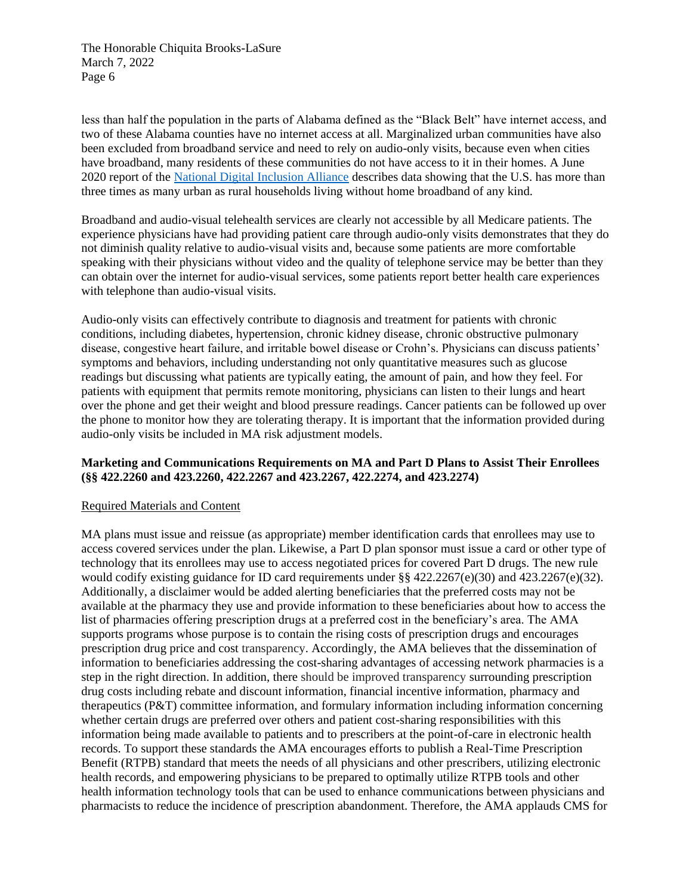less than half the population in the parts of Alabama defined as the "Black Belt" have internet access, and two of these Alabama counties have no internet access at all. Marginalized urban communities have also been excluded from broadband service and need to rely on audio-only visits, because even when cities have broadband, many residents of these communities do not have access to it in their homes. A June 2020 report of the [National Digital Inclusion Alliance](https://www.digitalinclusion.org/digital-divide-and-systemic-racism/) describes data showing that the U.S. has more than three times as many urban as rural households living without home broadband of any kind.

Broadband and audio-visual telehealth services are clearly not accessible by all Medicare patients. The experience physicians have had providing patient care through audio-only visits demonstrates that they do not diminish quality relative to audio-visual visits and, because some patients are more comfortable speaking with their physicians without video and the quality of telephone service may be better than they can obtain over the internet for audio-visual services, some patients report better health care experiences with telephone than audio-visual visits.

Audio-only visits can effectively contribute to diagnosis and treatment for patients with chronic conditions, including diabetes, hypertension, chronic kidney disease, chronic obstructive pulmonary disease, congestive heart failure, and irritable bowel disease or Crohn's. Physicians can discuss patients' symptoms and behaviors, including understanding not only quantitative measures such as glucose readings but discussing what patients are typically eating, the amount of pain, and how they feel. For patients with equipment that permits remote monitoring, physicians can listen to their lungs and heart over the phone and get their weight and blood pressure readings. Cancer patients can be followed up over the phone to monitor how they are tolerating therapy. It is important that the information provided during audio-only visits be included in MA risk adjustment models.

## **Marketing and Communications Requirements on MA and Part D Plans to Assist Their Enrollees (§§ 422.2260 and 423.2260, 422.2267 and 423.2267, 422.2274, and 423.2274)**

#### Required Materials and Content

MA plans must issue and reissue (as appropriate) member identification cards that enrollees may use to access covered services under the plan. Likewise, a Part D plan sponsor must issue a card or other type of technology that its enrollees may use to access negotiated prices for covered Part D drugs. The new rule would codify existing guidance for ID card requirements under §§ 422.2267(e)(30) and 423.2267(e)(32). Additionally, a disclaimer would be added alerting beneficiaries that the preferred costs may not be available at the pharmacy they use and provide information to these beneficiaries about how to access the list of pharmacies offering prescription drugs at a preferred cost in the beneficiary's area. The AMA supports programs whose purpose is to contain the rising costs of prescription drugs and encourages prescription drug price and cost transparency. Accordingly, the AMA believes that the dissemination of information to beneficiaries addressing the cost-sharing advantages of accessing network pharmacies is a step in the right direction. In addition, there should be improved transparency surrounding prescription drug costs including rebate and discount information, financial incentive information, pharmacy and therapeutics (P&T) committee information, and formulary information including information concerning whether certain drugs are preferred over others and patient cost-sharing responsibilities with this information being made available to patients and to prescribers at the point-of-care in electronic health records. To support these standards the AMA encourages efforts to publish a Real-Time Prescription Benefit (RTPB) standard that meets the needs of all physicians and other prescribers, utilizing electronic health records, and empowering physicians to be prepared to optimally utilize RTPB tools and other health information technology tools that can be used to enhance communications between physicians and pharmacists to reduce the incidence of prescription abandonment. Therefore, the AMA applauds CMS for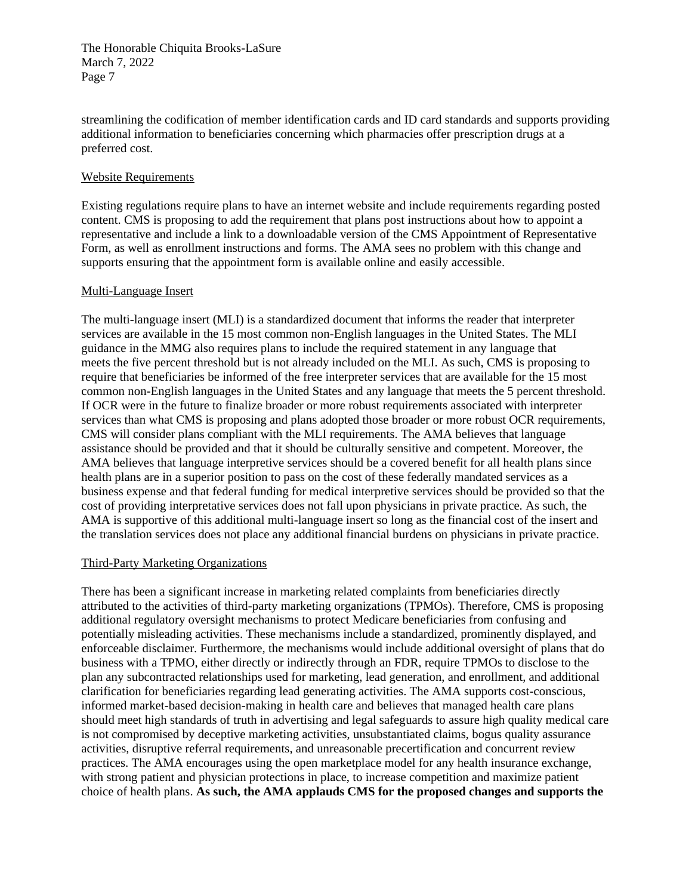streamlining the codification of member identification cards and ID card standards and supports providing additional information to beneficiaries concerning which pharmacies offer prescription drugs at a preferred cost.

### Website Requirements

Existing regulations require plans to have an internet website and include requirements regarding posted content. CMS is proposing to add the requirement that plans post instructions about how to appoint a representative and include a link to a downloadable version of the CMS Appointment of Representative Form, as well as enrollment instructions and forms. The AMA sees no problem with this change and supports ensuring that the appointment form is available online and easily accessible.

### Multi-Language Insert

The multi-language insert (MLI) is a standardized document that informs the reader that interpreter services are available in the 15 most common non-English languages in the United States. The MLI guidance in the MMG also requires plans to include the required statement in any language that meets the five percent threshold but is not already included on the MLI. As such, CMS is proposing to require that beneficiaries be informed of the free interpreter services that are available for the 15 most common non-English languages in the United States and any language that meets the 5 percent threshold. If OCR were in the future to finalize broader or more robust requirements associated with interpreter services than what CMS is proposing and plans adopted those broader or more robust OCR requirements, CMS will consider plans compliant with the MLI requirements. The AMA believes that language assistance should be provided and that it should be culturally sensitive and competent. Moreover, the AMA believes that language interpretive services should be a covered benefit for all health plans since health plans are in a superior position to pass on the cost of these federally mandated services as a business expense and that federal funding for medical interpretive services should be provided so that the cost of providing interpretative services does not fall upon physicians in private practice. As such, the AMA is supportive of this additional multi-language insert so long as the financial cost of the insert and the translation services does not place any additional financial burdens on physicians in private practice.

#### Third-Party Marketing Organizations

There has been a significant increase in marketing related complaints from beneficiaries directly attributed to the activities of third-party marketing organizations (TPMOs). Therefore, CMS is proposing additional regulatory oversight mechanisms to protect Medicare beneficiaries from confusing and potentially misleading activities. These mechanisms include a standardized, prominently displayed, and enforceable disclaimer. Furthermore, the mechanisms would include additional oversight of plans that do business with a TPMO, either directly or indirectly through an FDR, require TPMOs to disclose to the plan any subcontracted relationships used for marketing, lead generation, and enrollment, and additional clarification for beneficiaries regarding lead generating activities. The AMA supports cost-conscious, informed market-based decision-making in health care and believes that managed health care plans should meet high standards of truth in advertising and legal safeguards to assure high quality medical care is not compromised by deceptive marketing activities, unsubstantiated claims, bogus quality assurance activities, disruptive referral requirements, and unreasonable precertification and concurrent review practices. The AMA encourages using the open marketplace model for any health insurance exchange, with strong patient and physician protections in place, to increase competition and maximize patient choice of health plans. **As such, the AMA applauds CMS for the proposed changes and supports the**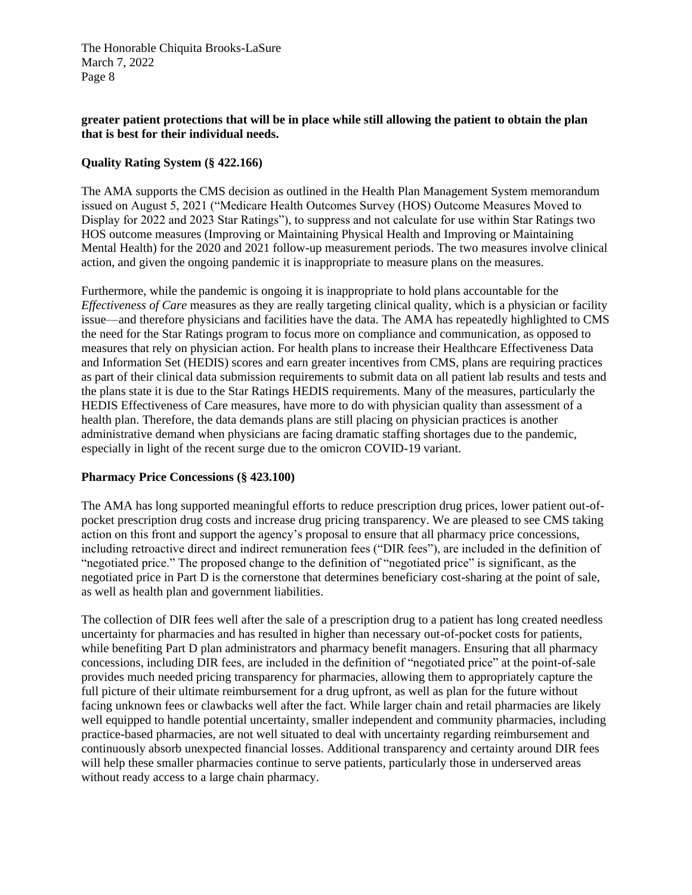## **greater patient protections that will be in place while still allowing the patient to obtain the plan that is best for their individual needs.**

## **Quality Rating System (§ 422.166)**

The AMA supports the CMS decision as outlined in the Health Plan Management System memorandum issued on August 5, 2021 ("Medicare Health Outcomes Survey (HOS) Outcome Measures Moved to Display for 2022 and 2023 Star Ratings"), to suppress and not calculate for use within Star Ratings two HOS outcome measures (Improving or Maintaining Physical Health and Improving or Maintaining Mental Health) for the 2020 and 2021 follow-up measurement periods. The two measures involve clinical action, and given the ongoing pandemic it is inappropriate to measure plans on the measures.

Furthermore, while the pandemic is ongoing it is inappropriate to hold plans accountable for the *Effectiveness of Care* measures as they are really targeting clinical quality, which is a physician or facility issue—and therefore physicians and facilities have the data. The AMA has repeatedly highlighted to CMS the need for the Star Ratings program to focus more on compliance and communication, as opposed to measures that rely on physician action. For health plans to increase their Healthcare Effectiveness Data and Information Set (HEDIS) scores and earn greater incentives from CMS, plans are requiring practices as part of their clinical data submission requirements to submit data on all patient lab results and tests and the plans state it is due to the Star Ratings HEDIS requirements. Many of the measures, particularly the HEDIS Effectiveness of Care measures, have more to do with physician quality than assessment of a health plan. Therefore, the data demands plans are still placing on physician practices is another administrative demand when physicians are facing dramatic staffing shortages due to the pandemic, especially in light of the recent surge due to the omicron COVID-19 variant.

## **Pharmacy Price Concessions (§ 423.100)**

The AMA has long supported meaningful efforts to reduce prescription drug prices, lower patient out-ofpocket prescription drug costs and increase drug pricing transparency. We are pleased to see CMS taking action on this front and support the agency's proposal to ensure that all pharmacy price concessions, including retroactive direct and indirect remuneration fees ("DIR fees"), are included in the definition of "negotiated price." The proposed change to the definition of "negotiated price" is significant, as the negotiated price in Part D is the cornerstone that determines beneficiary cost-sharing at the point of sale, as well as health plan and government liabilities.

The collection of DIR fees well after the sale of a prescription drug to a patient has long created needless uncertainty for pharmacies and has resulted in higher than necessary out-of-pocket costs for patients, while benefiting Part D plan administrators and pharmacy benefit managers. Ensuring that all pharmacy concessions, including DIR fees, are included in the definition of "negotiated price" at the point-of-sale provides much needed pricing transparency for pharmacies, allowing them to appropriately capture the full picture of their ultimate reimbursement for a drug upfront, as well as plan for the future without facing unknown fees or clawbacks well after the fact. While larger chain and retail pharmacies are likely well equipped to handle potential uncertainty, smaller independent and community pharmacies, including practice-based pharmacies, are not well situated to deal with uncertainty regarding reimbursement and continuously absorb unexpected financial losses. Additional transparency and certainty around DIR fees will help these smaller pharmacies continue to serve patients, particularly those in underserved areas without ready access to a large chain pharmacy.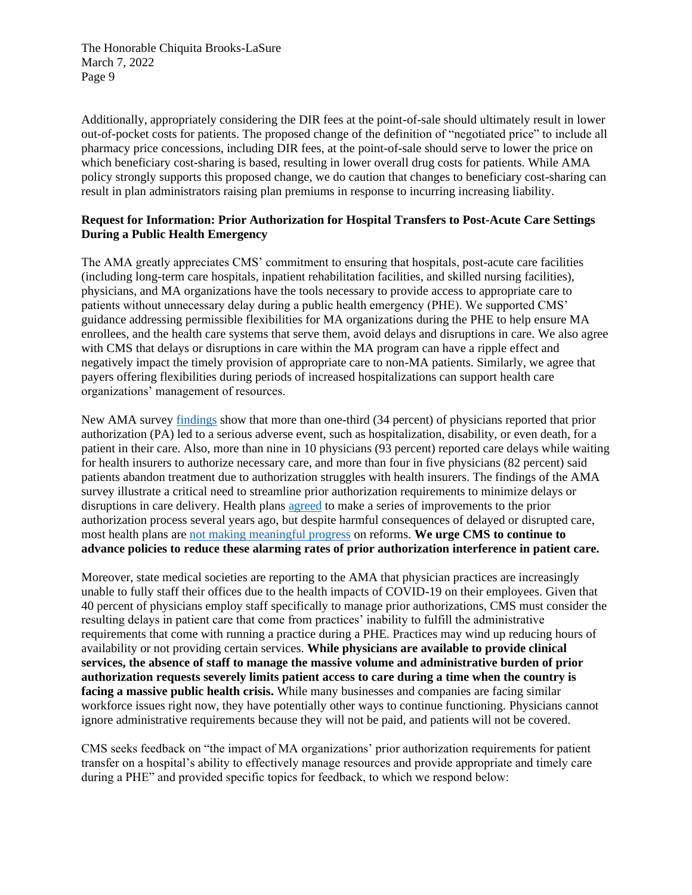Additionally, appropriately considering the DIR fees at the point-of-sale should ultimately result in lower out-of-pocket costs for patients. The proposed change of the definition of "negotiated price" to include all pharmacy price concessions, including DIR fees, at the point-of-sale should serve to lower the price on which beneficiary cost-sharing is based, resulting in lower overall drug costs for patients. While AMA policy strongly supports this proposed change, we do caution that changes to beneficiary cost-sharing can result in plan administrators raising plan premiums in response to incurring increasing liability.

## **Request for Information: Prior Authorization for Hospital Transfers to Post-Acute Care Settings During a Public Health Emergency**

The AMA greatly appreciates CMS' commitment to ensuring that hospitals, post-acute care facilities (including long-term care hospitals, inpatient rehabilitation facilities, and skilled nursing facilities), physicians, and MA organizations have the tools necessary to provide access to appropriate care to patients without unnecessary delay during a public health emergency (PHE). We supported CMS' guidance addressing permissible flexibilities for MA organizations during the PHE to help ensure MA enrollees, and the health care systems that serve them, avoid delays and disruptions in care. We also agree with CMS that delays or disruptions in care within the MA program can have a ripple effect and negatively impact the timely provision of appropriate care to non-MA patients. Similarly, we agree that payers offering flexibilities during periods of increased hospitalizations can support health care organizations' management of resources.

New AMA survey [findings](https://www.ama-assn.org/system/files/prior-authorization-survey.pdf) show that more than one-third (34 percent) of physicians reported that prior authorization (PA) led to a serious adverse event, such as hospitalization, disability, or even death, for a patient in their care. Also, more than nine in 10 physicians (93 percent) reported care delays while waiting for health insurers to authorize necessary care, and more than four in five physicians (82 percent) said patients abandon treatment due to authorization struggles with health insurers. The findings of the AMA survey illustrate a critical need to streamline prior authorization requirements to minimize delays or disruptions in care delivery. Health plans [agreed](https://www.ama-assn.org/sites/ama-assn.org/files/corp/media-browser/public/arc-public/prior-authorization-consensus-statement.pdf) to make a series of improvements to the prior authorization process several years ago, but despite harmful consequences of delayed or disrupted care, most health plans are [not making meaningful progress](https://www.ama-assn.org/system/files/2021-05/prior-authorization-reform-progress-update.pdf) on reforms. **We urge CMS to continue to advance policies to reduce these alarming rates of prior authorization interference in patient care.**

Moreover, state medical societies are reporting to the AMA that physician practices are increasingly unable to fully staff their offices due to the health impacts of COVID-19 on their employees. Given that 40 percent of physicians employ staff specifically to manage prior authorizations, CMS must consider the resulting delays in patient care that come from practices' inability to fulfill the administrative requirements that come with running a practice during a PHE. Practices may wind up reducing hours of availability or not providing certain services. **While physicians are available to provide clinical services, the absence of staff to manage the massive volume and administrative burden of prior authorization requests severely limits patient access to care during a time when the country is facing a massive public health crisis.** While many businesses and companies are facing similar workforce issues right now, they have potentially other ways to continue functioning. Physicians cannot ignore administrative requirements because they will not be paid, and patients will not be covered.

CMS seeks feedback on "the impact of MA organizations' prior authorization requirements for patient transfer on a hospital's ability to effectively manage resources and provide appropriate and timely care during a PHE" and provided specific topics for feedback, to which we respond below: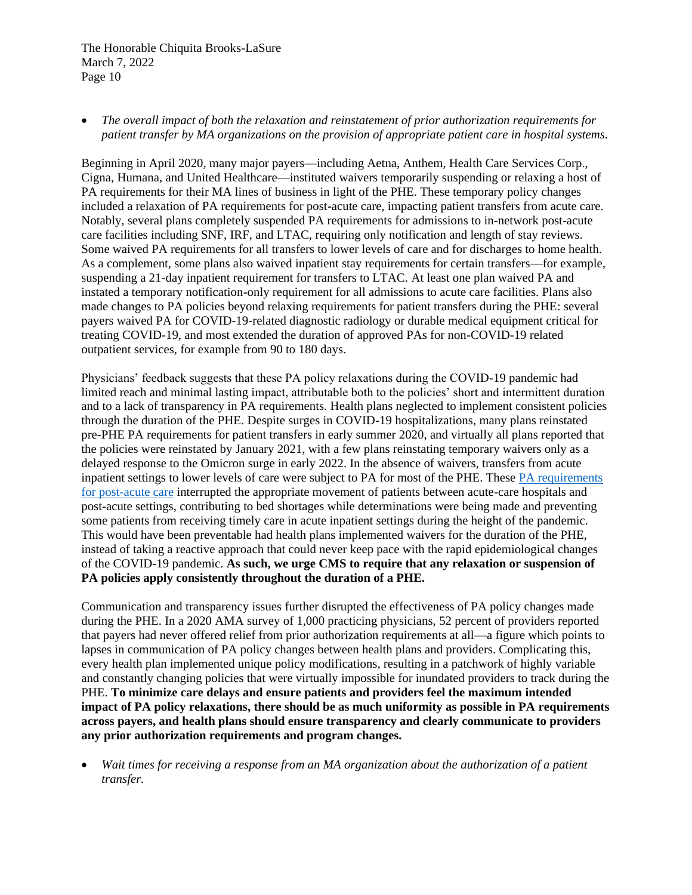• *The overall impact of both the relaxation and reinstatement of prior authorization requirements for patient transfer by MA organizations on the provision of appropriate patient care in hospital systems.*

Beginning in April 2020, many major payers—including Aetna, Anthem, Health Care Services Corp., Cigna, Humana, and United Healthcare—instituted waivers temporarily suspending or relaxing a host of PA requirements for their MA lines of business in light of the PHE. These temporary policy changes included a relaxation of PA requirements for post-acute care, impacting patient transfers from acute care. Notably, several plans completely suspended PA requirements for admissions to in-network post-acute care facilities including SNF, IRF, and LTAC, requiring only notification and length of stay reviews. Some waived PA requirements for all transfers to lower levels of care and for discharges to home health. As a complement, some plans also waived inpatient stay requirements for certain transfers—for example, suspending a 21-day inpatient requirement for transfers to LTAC. At least one plan waived PA and instated a temporary notification-only requirement for all admissions to acute care facilities. Plans also made changes to PA policies beyond relaxing requirements for patient transfers during the PHE: several payers waived PA for COVID-19-related diagnostic radiology or durable medical equipment critical for treating COVID-19, and most extended the duration of approved PAs for non-COVID-19 related outpatient services, for example from 90 to 180 days.

Physicians' feedback suggests that these PA policy relaxations during the COVID-19 pandemic had limited reach and minimal lasting impact, attributable both to the policies' short and intermittent duration and to a lack of transparency in PA requirements. Health plans neglected to implement consistent policies through the duration of the PHE. Despite surges in COVID-19 hospitalizations, many plans reinstated pre-PHE PA requirements for patient transfers in early summer 2020, and virtually all plans reported that the policies were reinstated by January 2021, with a few plans reinstating temporary waivers only as a delayed response to the Omicron surge in early 2022. In the absence of waivers, transfers from acute inpatient settings to lower levels of care were subject to PA for most of the PHE. These [PA requirements](https://www.modernhealthcare.com/hospitals/hospitals-say-medicare-advantage-delays-contribute-backlogs)  [for post-acute care](https://www.modernhealthcare.com/hospitals/hospitals-say-medicare-advantage-delays-contribute-backlogs) interrupted the appropriate movement of patients between acute-care hospitals and post-acute settings, contributing to bed shortages while determinations were being made and preventing some patients from receiving timely care in acute inpatient settings during the height of the pandemic. This would have been preventable had health plans implemented waivers for the duration of the PHE, instead of taking a reactive approach that could never keep pace with the rapid epidemiological changes of the COVID-19 pandemic. **As such, we urge CMS to require that any relaxation or suspension of PA policies apply consistently throughout the duration of a PHE.**

Communication and transparency issues further disrupted the effectiveness of PA policy changes made during the PHE. In a 2020 AMA survey of 1,000 practicing physicians, 52 percent of providers reported that payers had never offered relief from prior authorization requirements at all—a figure which points to lapses in communication of PA policy changes between health plans and providers. Complicating this, every health plan implemented unique policy modifications, resulting in a patchwork of highly variable and constantly changing policies that were virtually impossible for inundated providers to track during the PHE. **To minimize care delays and ensure patients and providers feel the maximum intended impact of PA policy relaxations, there should be as much uniformity as possible in PA requirements across payers, and health plans should ensure transparency and clearly communicate to providers any prior authorization requirements and program changes.**

• *Wait times for receiving a response from an MA organization about the authorization of a patient transfer.*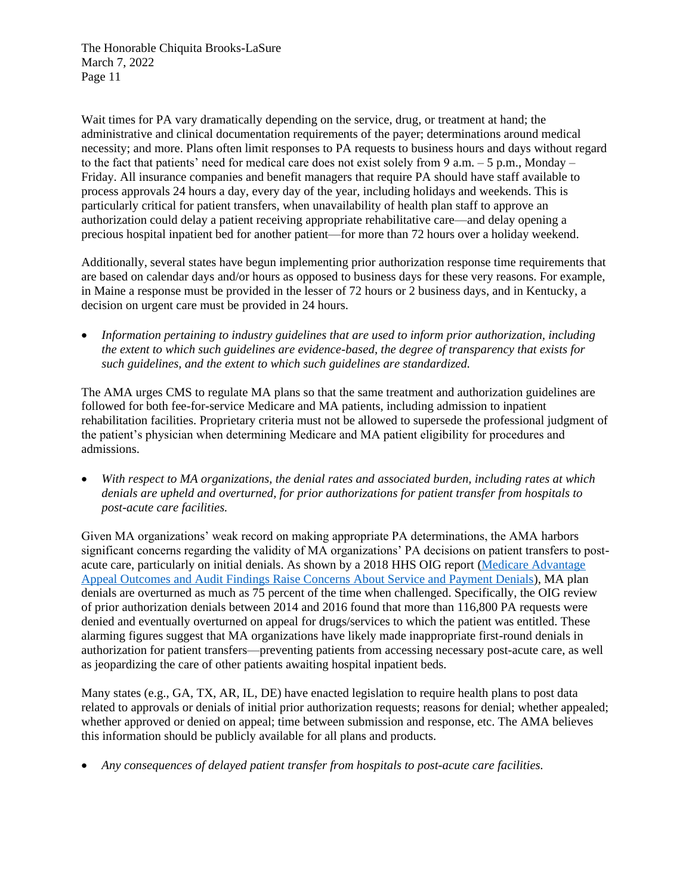Wait times for PA vary dramatically depending on the service, drug, or treatment at hand; the administrative and clinical documentation requirements of the payer; determinations around medical necessity; and more. Plans often limit responses to PA requests to business hours and days without regard to the fact that patients' need for medical care does not exist solely from 9 a.m.  $-5$  p.m., Monday – Friday. All insurance companies and benefit managers that require PA should have staff available to process approvals 24 hours a day, every day of the year, including holidays and weekends. This is particularly critical for patient transfers, when unavailability of health plan staff to approve an authorization could delay a patient receiving appropriate rehabilitative care—and delay opening a precious hospital inpatient bed for another patient—for more than 72 hours over a holiday weekend.

Additionally, several states have begun implementing prior authorization response time requirements that are based on calendar days and/or hours as opposed to business days for these very reasons. For example, in Maine a response must be provided in the lesser of 72 hours or 2 business days, and in Kentucky, a decision on urgent care must be provided in 24 hours.

• *Information pertaining to industry guidelines that are used to inform prior authorization, including the extent to which such guidelines are evidence-based, the degree of transparency that exists for such guidelines, and the extent to which such guidelines are standardized.*

The AMA urges CMS to regulate MA plans so that the same treatment and authorization guidelines are followed for both fee-for-service Medicare and MA patients, including admission to inpatient rehabilitation facilities. Proprietary criteria must not be allowed to supersede the professional judgment of the patient's physician when determining Medicare and MA patient eligibility for procedures and admissions.

• *With respect to MA organizations, the denial rates and associated burden, including rates at which denials are upheld and overturned, for prior authorizations for patient transfer from hospitals to post-acute care facilities.*

Given MA organizations' weak record on making appropriate PA determinations, the AMA harbors significant concerns regarding the validity of MA organizations' PA decisions on patient transfers to postacute care, particularly on initial denials. As shown by a 2018 HHS OIG report [\(Medicare Advantage](https://oig.hhs.gov/oei/reports/oei-09-16-00410.asp)  [Appeal Outcomes and Audit Findings Raise Concerns About Service and Payment Denials\)](https://oig.hhs.gov/oei/reports/oei-09-16-00410.asp), MA plan denials are overturned as much as 75 percent of the time when challenged. Specifically, the OIG review of prior authorization denials between 2014 and 2016 found that more than 116,800 PA requests were denied and eventually overturned on appeal for drugs/services to which the patient was entitled. These alarming figures suggest that MA organizations have likely made inappropriate first-round denials in authorization for patient transfers—preventing patients from accessing necessary post-acute care, as well as jeopardizing the care of other patients awaiting hospital inpatient beds.

Many states (e.g., GA, TX, AR, IL, DE) have enacted legislation to require health plans to post data related to approvals or denials of initial prior authorization requests; reasons for denial; whether appealed; whether approved or denied on appeal; time between submission and response, etc. The AMA believes this information should be publicly available for all plans and products.

• *Any consequences of delayed patient transfer from hospitals to post-acute care facilities.*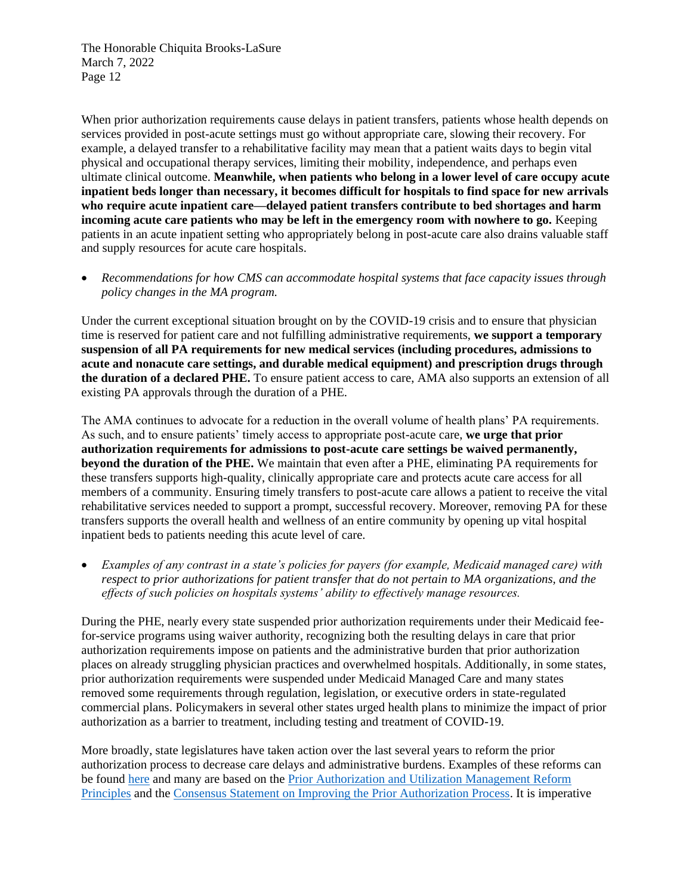When prior authorization requirements cause delays in patient transfers, patients whose health depends on services provided in post-acute settings must go without appropriate care, slowing their recovery. For example, a delayed transfer to a rehabilitative facility may mean that a patient waits days to begin vital physical and occupational therapy services, limiting their mobility, independence, and perhaps even ultimate clinical outcome. **Meanwhile, when patients who belong in a lower level of care occupy acute inpatient beds longer than necessary, it becomes difficult for hospitals to find space for new arrivals who require acute inpatient care—delayed patient transfers contribute to bed shortages and harm incoming acute care patients who may be left in the emergency room with nowhere to go.** Keeping patients in an acute inpatient setting who appropriately belong in post-acute care also drains valuable staff and supply resources for acute care hospitals.

• *Recommendations for how CMS can accommodate hospital systems that face capacity issues through policy changes in the MA program.*

Under the current exceptional situation brought on by the COVID-19 crisis and to ensure that physician time is reserved for patient care and not fulfilling administrative requirements, **we support a temporary suspension of all PA requirements for new medical services (including procedures, admissions to acute and nonacute care settings, and durable medical equipment) and prescription drugs through the duration of a declared PHE.** To ensure patient access to care, AMA also supports an extension of all existing PA approvals through the duration of a PHE.

The AMA continues to advocate for a reduction in the overall volume of health plans' PA requirements. As such, and to ensure patients' timely access to appropriate post-acute care, **we urge that prior authorization requirements for admissions to post-acute care settings be waived permanently, beyond the duration of the PHE.** We maintain that even after a PHE, eliminating PA requirements for these transfers supports high-quality, clinically appropriate care and protects acute care access for all members of a community. Ensuring timely transfers to post-acute care allows a patient to receive the vital rehabilitative services needed to support a prompt, successful recovery. Moreover, removing PA for these transfers supports the overall health and wellness of an entire community by opening up vital hospital inpatient beds to patients needing this acute level of care.

• *Examples of any contrast in a state's policies for payers (for example, Medicaid managed care) with respect to prior authorizations for patient transfer that do not pertain to MA organizations, and the effects of such policies on hospitals systems' ability to effectively manage resources.*

During the PHE, nearly every state suspended prior authorization requirements under their Medicaid feefor-service programs using waiver authority, recognizing both the resulting delays in care that prior authorization requirements impose on patients and the administrative burden that prior authorization places on already struggling physician practices and overwhelmed hospitals. Additionally, in some states, prior authorization requirements were suspended under Medicaid Managed Care and many states removed some requirements through regulation, legislation, or executive orders in state-regulated commercial plans. Policymakers in several other states urged health plans to minimize the impact of prior authorization as a barrier to treatment, including testing and treatment of COVID-19.

More broadly, state legislatures have taken action over the last several years to reform the prior authorization process to decrease care delays and administrative burdens. Examples of these reforms can be found [here](https://www.ama-assn.org/system/files/2021-04/pa-state-chart.pdf) and many are based on the [Prior Authorization and Utilization Management Reform](https://www.ama-assn.org/system/files/2019-06/principles-with-signatory-page-for-slsc.pdf)  [Principles](https://www.ama-assn.org/system/files/2019-06/principles-with-signatory-page-for-slsc.pdf) and the [Consensus Statement on Improving the Prior Authorization Process.](https://www.ama-assn.org/sites/ama-assn.org/files/corp/media-browser/public/arc-public/prior-authorization-consensus-statement.pdf) It is imperative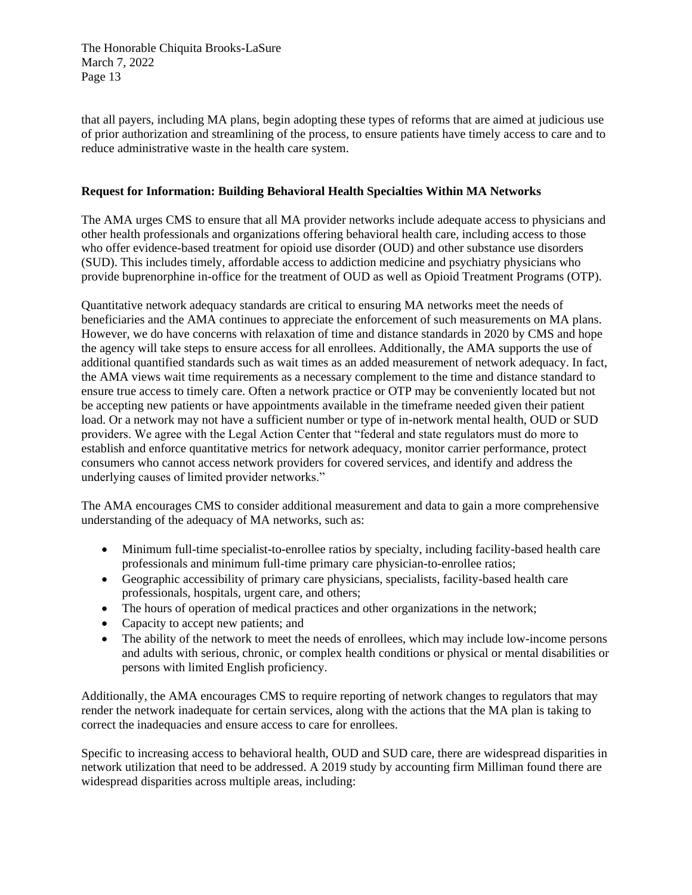that all payers, including MA plans, begin adopting these types of reforms that are aimed at judicious use of prior authorization and streamlining of the process, to ensure patients have timely access to care and to reduce administrative waste in the health care system.

## **Request for Information: Building Behavioral Health Specialties Within MA Networks**

The AMA urges CMS to ensure that all MA provider networks include adequate access to physicians and other health professionals and organizations offering behavioral health care, including access to those who offer evidence-based treatment for opioid use disorder (OUD) and other substance use disorders (SUD). This includes timely, affordable access to addiction medicine and psychiatry physicians who provide buprenorphine in-office for the treatment of OUD as well as Opioid Treatment Programs (OTP).

Quantitative network adequacy standards are critical to ensuring MA networks meet the needs of beneficiaries and the AMA continues to appreciate the enforcement of such measurements on MA plans. However, we do have concerns with relaxation of time and distance standards in 2020 by CMS and hope the agency will take steps to ensure access for all enrollees. Additionally, the AMA supports the use of additional quantified standards such as wait times as an added measurement of network adequacy. In fact, the AMA views wait time requirements as a necessary complement to the time and distance standard to ensure true access to timely care. Often a network practice or OTP may be conveniently located but not be accepting new patients or have appointments available in the timeframe needed given their patient load. Or a network may not have a sufficient number or type of in-network mental health, OUD or SUD providers. We agree with the Legal Action Center that "federal and state regulators must do more to establish and enforce quantitative metrics for network adequacy, monitor carrier performance, protect consumers who cannot access network providers for covered services, and identify and address the underlying causes of limited provider networks."

The AMA encourages CMS to consider additional measurement and data to gain a more comprehensive understanding of the adequacy of MA networks, such as:

- Minimum full-time specialist-to-enrollee ratios by specialty, including facility-based health care professionals and minimum full-time primary care physician-to-enrollee ratios;
- Geographic accessibility of primary care physicians, specialists, facility-based health care professionals, hospitals, urgent care, and others;
- The hours of operation of medical practices and other organizations in the network;
- Capacity to accept new patients; and
- The ability of the network to meet the needs of enrollees, which may include low-income persons and adults with serious, chronic, or complex health conditions or physical or mental disabilities or persons with limited English proficiency.

Additionally, the AMA encourages CMS to require reporting of network changes to regulators that may render the network inadequate for certain services, along with the actions that the MA plan is taking to correct the inadequacies and ensure access to care for enrollees.

Specific to increasing access to behavioral health, OUD and SUD care, there are widespread disparities in network utilization that need to be addressed. A 2019 study by accounting firm Milliman found there are widespread disparities across multiple areas, including: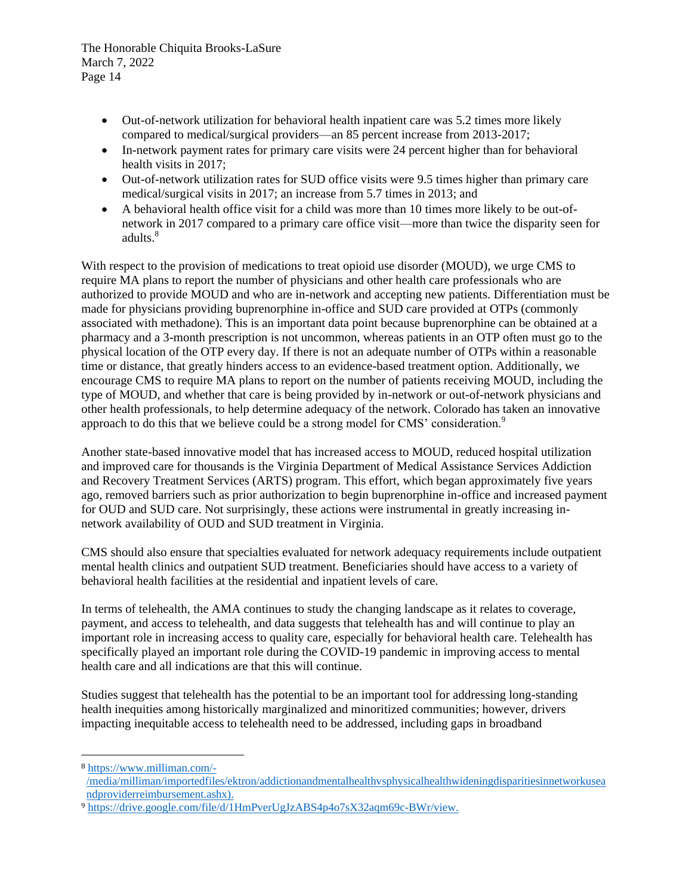- Out-of-network utilization for behavioral health inpatient care was 5.2 times more likely compared to medical/surgical providers—an 85 percent increase from 2013-2017;
- In-network payment rates for primary care visits were 24 percent higher than for behavioral health visits in 2017;
- Out-of-network utilization rates for SUD office visits were 9.5 times higher than primary care medical/surgical visits in 2017; an increase from 5.7 times in 2013; and
- A behavioral health office visit for a child was more than 10 times more likely to be out-ofnetwork in 2017 compared to a primary care office visit—more than twice the disparity seen for adults.<sup>8</sup>

With respect to the provision of medications to treat opioid use disorder (MOUD), we urge CMS to require MA plans to report the number of physicians and other health care professionals who are authorized to provide MOUD and who are in-network and accepting new patients. Differentiation must be made for physicians providing buprenorphine in-office and SUD care provided at OTPs (commonly associated with methadone). This is an important data point because buprenorphine can be obtained at a pharmacy and a 3-month prescription is not uncommon, whereas patients in an OTP often must go to the physical location of the OTP every day. If there is not an adequate number of OTPs within a reasonable time or distance, that greatly hinders access to an evidence-based treatment option. Additionally, we encourage CMS to require MA plans to report on the number of patients receiving MOUD, including the type of MOUD, and whether that care is being provided by in-network or out-of-network physicians and other health professionals, to help determine adequacy of the network. Colorado has taken an innovative approach to do this that we believe could be a strong model for CMS' consideration.<sup>9</sup>

Another state-based innovative model that has increased access to MOUD, reduced hospital utilization and improved care for thousands is the Virginia Department of Medical Assistance Services Addiction and Recovery Treatment Services (ARTS) program. This effort, which began approximately five years ago, removed barriers such as prior authorization to begin buprenorphine in-office and increased payment for OUD and SUD care. Not surprisingly, these actions were instrumental in greatly increasing innetwork availability of OUD and SUD treatment in Virginia.

CMS should also ensure that specialties evaluated for network adequacy requirements include outpatient mental health clinics and outpatient SUD treatment. Beneficiaries should have access to a variety of behavioral health facilities at the residential and inpatient levels of care.

In terms of telehealth, the AMA continues to study the changing landscape as it relates to coverage, payment, and access to telehealth, and data suggests that telehealth has and will continue to play an important role in increasing access to quality care, especially for behavioral health care. Telehealth has specifically played an important role during the COVID-19 pandemic in improving access to mental health care and all indications are that this will continue.

Studies suggest that telehealth has the potential to be an important tool for addressing long-standing health inequities among historically marginalized and minoritized communities; however, drivers impacting inequitable access to telehealth need to be addressed, including gaps in broadband

<sup>8</sup> [https://www.milliman.com/-](https://www.milliman.com/-/media/milliman/importedfiles/ektron/addictionandmentalhealthvsphysicalhealthwideningdisparitiesinnetworkuseandproviderreimbursement.ashx)) [/media/milliman/importedfiles/ektron/addictionandmentalhealthvsphysicalhealthwideningdisparitiesinnetworkusea](https://www.milliman.com/-/media/milliman/importedfiles/ektron/addictionandmentalhealthvsphysicalhealthwideningdisparitiesinnetworkuseandproviderreimbursement.ashx)) [ndproviderreimbursement.ashx\).](https://www.milliman.com/-/media/milliman/importedfiles/ektron/addictionandmentalhealthvsphysicalhealthwideningdisparitiesinnetworkuseandproviderreimbursement.ashx))

<sup>9</sup> [https://drive.google.com/file/d/1HmPverUgJzABS4p4o7sX32aqm69c-BWr/view.](https://drive.google.com/file/d/1HmPverUgJzABS4p4o7sX32aqm69c-BWr/view)